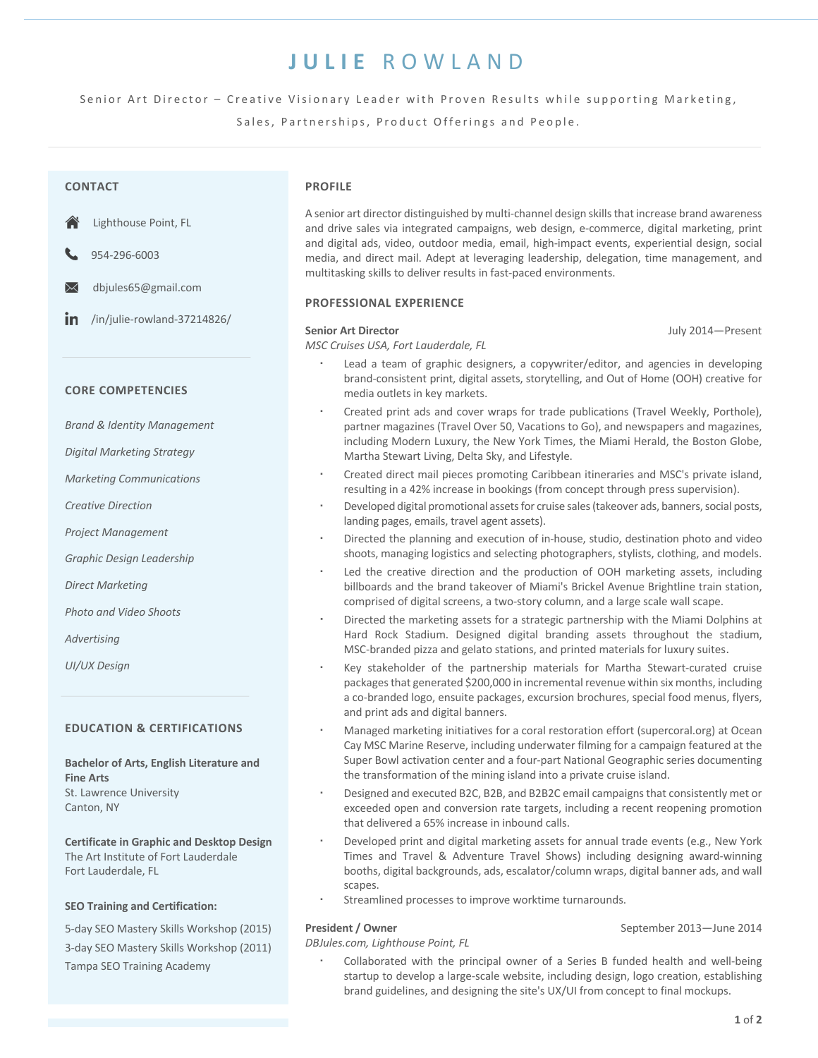# **JULIE** ROWLAND

Senior Art Director - Creative Visionary Leader with Proven Results while supporting Marketing,

Sales, Partnerships, Product Offerings and People.

| <b>CONTACT</b>                                                                                                  | <b>PROFILE</b>                                                                                                                                                                                                                                                                                                                                                                                                                                                    |  |
|-----------------------------------------------------------------------------------------------------------------|-------------------------------------------------------------------------------------------------------------------------------------------------------------------------------------------------------------------------------------------------------------------------------------------------------------------------------------------------------------------------------------------------------------------------------------------------------------------|--|
| Lighthouse Point, FL<br>954-296-6003<br>$\times$<br>dbjules65@gmail.com                                         | A senior art director distinguished by multi-channel design skills that increase brand awareness<br>and drive sales via integrated campaigns, web design, e-commerce, digital marketing, print<br>and digital ads, video, outdoor media, email, high-impact events, experiential design, social<br>media, and direct mail. Adept at leveraging leadership, delegation, time management, and<br>multitasking skills to deliver results in fast-paced environments. |  |
|                                                                                                                 | <b>PROFESSIONAL EXPERIENCE</b>                                                                                                                                                                                                                                                                                                                                                                                                                                    |  |
| /in/julie-rowland-37214826/<br>$\mathsf{I}$                                                                     | <b>Senior Art Director</b><br>July 2014-Present<br>MSC Cruises USA, Fort Lauderdale, FL                                                                                                                                                                                                                                                                                                                                                                           |  |
| <b>CORE COMPETENCIES</b>                                                                                        | Lead a team of graphic designers, a copywriter/editor, and agencies in developing<br>brand-consistent print, digital assets, storytelling, and Out of Home (OOH) creative for<br>media outlets in key markets.                                                                                                                                                                                                                                                    |  |
| <b>Brand &amp; Identity Management</b><br><b>Digital Marketing Strategy</b>                                     | Created print ads and cover wraps for trade publications (Travel Weekly, Porthole),<br>٠<br>partner magazines (Travel Over 50, Vacations to Go), and newspapers and magazines,<br>including Modern Luxury, the New York Times, the Miami Herald, the Boston Globe,                                                                                                                                                                                                |  |
| <b>Marketing Communications</b>                                                                                 | Martha Stewart Living, Delta Sky, and Lifestyle.<br>Created direct mail pieces promoting Caribbean itineraries and MSC's private island,                                                                                                                                                                                                                                                                                                                          |  |
| <b>Creative Direction</b>                                                                                       | resulting in a 42% increase in bookings (from concept through press supervision).<br>Developed digital promotional assets for cruise sales (takeover ads, banners, social posts,                                                                                                                                                                                                                                                                                  |  |
| Project Management                                                                                              | landing pages, emails, travel agent assets).<br>Directed the planning and execution of in-house, studio, destination photo and video                                                                                                                                                                                                                                                                                                                              |  |
| Graphic Design Leadership                                                                                       | shoots, managing logistics and selecting photographers, stylists, clothing, and models.                                                                                                                                                                                                                                                                                                                                                                           |  |
| <b>Direct Marketing</b>                                                                                         | Led the creative direction and the production of OOH marketing assets, including<br>٠<br>billboards and the brand takeover of Miami's Brickel Avenue Brightline train station,<br>comprised of digital screens, a two-story column, and a large scale wall scape.                                                                                                                                                                                                 |  |
| Photo and Video Shoots<br>Advertising                                                                           | Directed the marketing assets for a strategic partnership with the Miami Dolphins at<br>٠<br>Hard Rock Stadium. Designed digital branding assets throughout the stadium,                                                                                                                                                                                                                                                                                          |  |
| UI/UX Design                                                                                                    | MSC-branded pizza and gelato stations, and printed materials for luxury suites.<br>Key stakeholder of the partnership materials for Martha Stewart-curated cruise<br>packages that generated \$200,000 in incremental revenue within six months, including<br>a co-branded logo, ensuite packages, excursion brochures, special food menus, flyers,<br>and print ads and digital banners.                                                                         |  |
| <b>EDUCATION &amp; CERTIFICATIONS</b><br><b>Bachelor of Arts, English Literature and</b><br><b>Fine Arts</b>    | Managed marketing initiatives for a coral restoration effort (supercoral.org) at Ocean<br>Cay MSC Marine Reserve, including underwater filming for a campaign featured at the<br>Super Bowl activation center and a four-part National Geographic series documenting<br>the transformation of the mining island into a private cruise island.                                                                                                                     |  |
| St. Lawrence University<br>Canton, NY                                                                           | Designed and executed B2C, B2B, and B2B2C email campaigns that consistently met or<br>$\blacksquare$<br>exceeded open and conversion rate targets, including a recent reopening promotion<br>that delivered a 65% increase in inbound calls.                                                                                                                                                                                                                      |  |
| <b>Certificate in Graphic and Desktop Design</b><br>The Art Institute of Fort Lauderdale<br>Fort Lauderdale, FL | Developed print and digital marketing assets for annual trade events (e.g., New York<br>Times and Travel & Adventure Travel Shows) including designing award-winning<br>booths, digital backgrounds, ads, escalator/column wraps, digital banner ads, and wall<br>scapes.                                                                                                                                                                                         |  |
| <b>SEO Training and Certification:</b>                                                                          | Streamlined processes to improve worktime turnarounds.                                                                                                                                                                                                                                                                                                                                                                                                            |  |
| 5-day SEO Mastery Skills Workshop (2015)<br>3-day SEO Mastery Skills Workshop (2011)                            | <b>President / Owner</b><br>September 2013-June 2014<br>DBJules.com, Lighthouse Point, FL                                                                                                                                                                                                                                                                                                                                                                         |  |

Tampa SEO Training Academy

 Collaborated with the principal owner of a Series B funded health and well-being startup to develop a large-scale website, including design, logo creation, establishing brand guidelines, and designing the site's UX/UI from concept to final mockups.